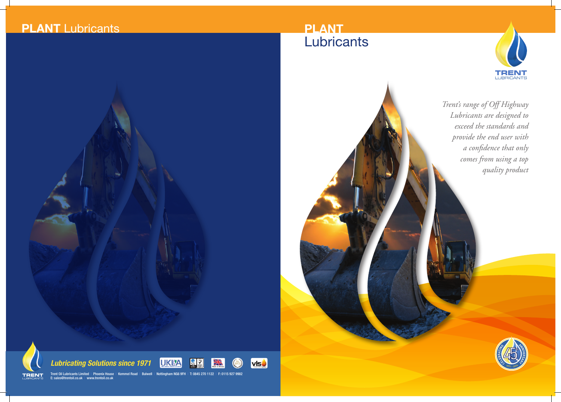





*Trent's range of Off Highway Lubricants are designed to exceed the standards and provide the end user with a confidence that only comes from using a top quality product*



Trent Oil Lubricants Limited I Phoenix House I Kemmel Road I Bulwell I Nottingham NG6 9FH I T: 0845 270 1122 I F: 0115 927 9982 E: sales@trentoil.co.uk | www.trentoil.co.uk





# **PLANT** Lubricants

*Lubricating Solutions since 1971*